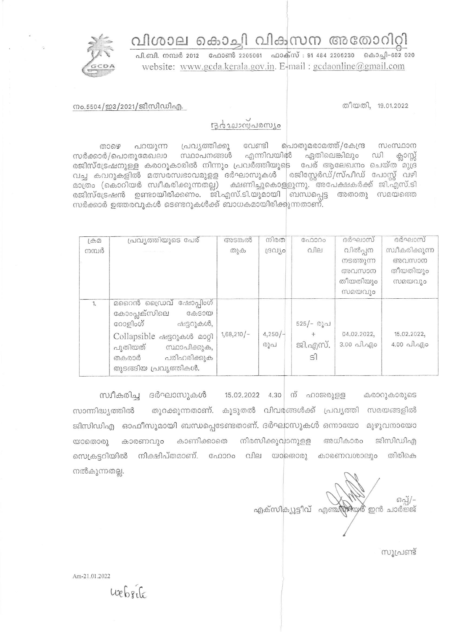

## വിശാല കൊച്ചി വികസന അതോറിറ്റി

പി.ബി. നമ്പർ 2012 ഫോൺ 2205061 ഫാക്സ് : 91 484 2206230 കൊച്ചി-682 020 website: www.gcda.kerala.gov.in. E-mail: gcdaonline@gmail.com

നം.5504/ഇ3/2021/ജിസിഡിഎ.

തീയതി, 19.01.2022

## Bystrownsours

പ്രവ്യത്തിക്കു വേണ്ടി പൊതുമരാമത്ത്/കേന്ദ്ര പറയുന്ന സംസ്ഥാന லைச ഏതിലെങ്കിലും ഡി സർക്കാർ/പൊതുമേഖലാ സ്ഥാപനങ്ങൾ എന്നിവയിൽ ക്ലാസ്സ് രജിസ്ട്രേഷനുള്ള കരാറുകാരിൽ നിന്നും പ്രവർത്തിയുടെ പേര് ആലേഖനം ചെയ്ത മുദ്ര വച്ച കവറുകളിൽ മത്സരസ്വഭാവമുളള ദർഘാസുകൾ |രജിസ്റ്റേർഡ്/സ്പീഡ് പോസ്റ്റ് വഴി മാത്രം (കൊറിയർ സ്വീകരിക്കുന്നതല്ല) ക്ഷണിച്ചുകൊളളുന്നു. അപേക്ഷകർക്ക് ജി.എസ്.ടി രജിസ്ട്രേഷൻ ഉണ്ടായിരിക്കണം. ജി.എസ്.ടി.യുമായി ബന്ധപ്പെട്ട അതാതു സമയത്തെ സർക്കാർ ഉത്തരവുകൾ ടെണ്ടറുകൾക്ക് ബാധകമായിരിക്കുന്നതാണ്.

| $(A\oplus\emptyset)$ | പ്രവ്യത്തിയുടെ പേര്                                                                                                                                                                       | അടങ്കൽ       | നിരത          | C <sub>0.0000</sub>       | ദർഘാസ്                               | ദർഘാസ്                                 |
|----------------------|-------------------------------------------------------------------------------------------------------------------------------------------------------------------------------------------|--------------|---------------|---------------------------|--------------------------------------|----------------------------------------|
| നമ്പർ                |                                                                                                                                                                                           | തുക          | resulto       | വില                       | വിൽപ്പന<br>നടത്തുന്ന                 | സ്വീകരിക്കുന്ന<br>അവസാന                |
|                      |                                                                                                                                                                                           |              |               |                           | അവസാന                                | തീയതിയും                               |
|                      |                                                                                                                                                                                           |              |               |                           | തീയതിയും                             | <b>MADAJO</b>                          |
|                      |                                                                                                                                                                                           |              |               |                           | സമയവും                               |                                        |
| $\mathbf{1}$         | മറൈൻ ഡ്രൈവ് ഷോപ്പിംഗ്<br>കോംപ്ലക്സിലെ<br><b>G</b> &SOO<br>റോളിംഗ്<br>ഷട്ടറുകൾ,<br>Collapsible ഷട്ടറുകൾ മാറ്റി<br>പുതിയത്<br>സ്ഥാപിക്കുക,<br>പരിഹരിക്കുക<br>തകരാർ<br>തുടങ്ങിയ പ്രവൃത്തികൾ. | $1,68,210/-$ | 4,250/<br>രൂപ | 525/- രൂപ<br>ജി.എസ്.<br>s | 04.02.2022,<br>$3.00 \text{ Al.}$ 40 | 15.02.2022,<br>$4.00 \text{ and } q_0$ |

സ്വീകരിച്ച ദർഘാസുകൾ 15.02.2022 4.30 ന് ഹാജരുള്ള കരാറുകാരുടെ തുറക്കുന്നതാണ്. കൂടുതൽ വിവരങ്ങൾക്ക് പ്രവൃത്തി സമയങ്ങളിൽ സാന്നിദ്ധ്യത്തിൽ ജിസിഡിഎ ഓഫീസുമായി ബന്ധപ്പെടേണ്ടതാണ്. ദർഘാസുകൾ ഒന്നായോ മുഴുവനായോ കാണിക്കാതെ നിരസിക്കുവാനുളള കാരണവും യാതൊരു അധികാരം ജിസിഡിഎ സെക്രട്ടറിയിൽ നിക്ഷിപ്തമാണ്. ഫോറം വില യാതൊരു കാരണവശാലും തിരികെ നൽകുന്നതല്ല.

 $60 - 7$ എക്സിക്യൂട്ടീവ് എഞ്ജിയത് ഇൻ ചാർ<sup>ഇ്</sup>ജ്

സൂപ്രണ്ട്

Am-21.01.2022

 $w$   $6.6$